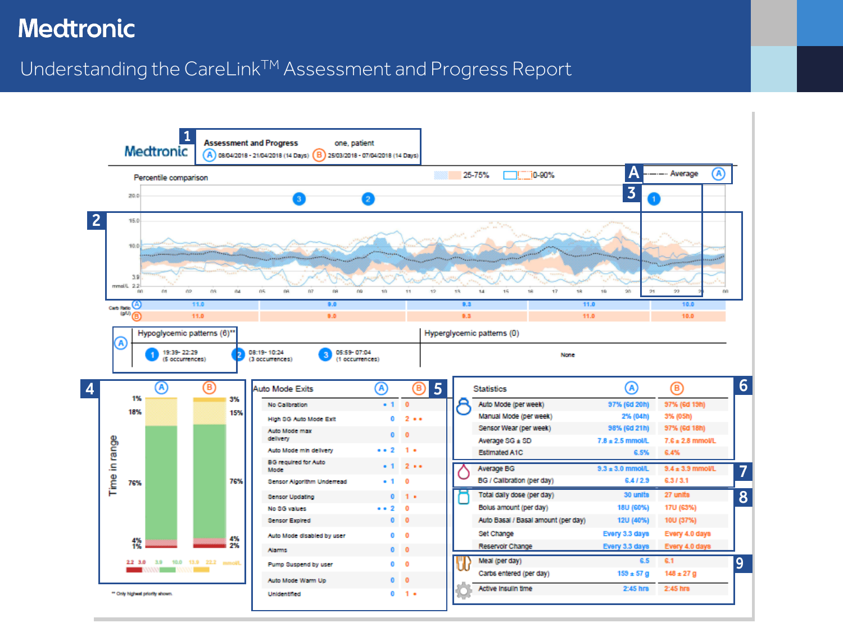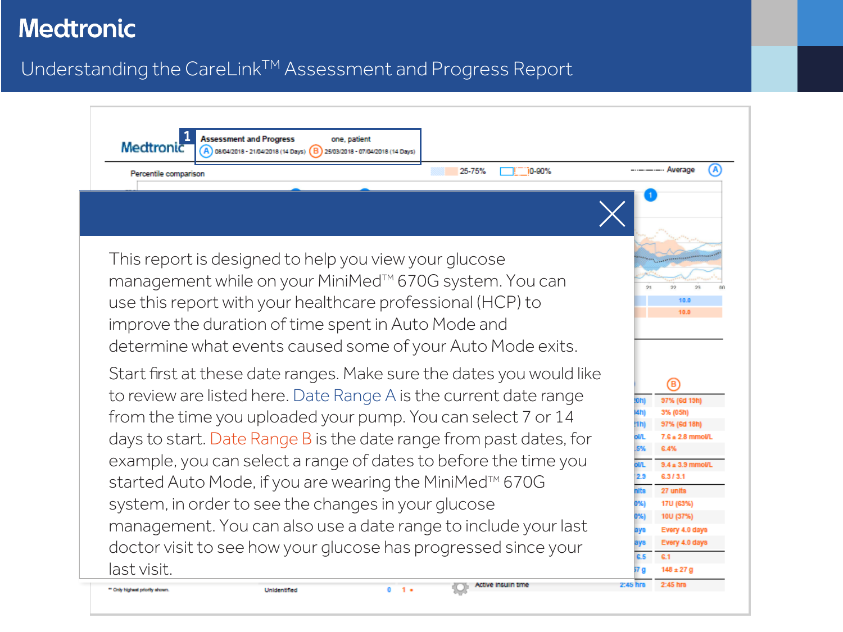## <span id="page-1-0"></span>Understanding the CareLink™ Assessment and Progress Report

| --- Average<br>25 75%<br>i0-90%<br>Percentile comparison<br>This report is designed to help you view your glucose<br>management while on your MiniMed™ 670G system. You can<br>use this report with your healthcare professional (HCP) to<br>10.0<br>10.0<br>improve the duration of time spent in Auto Mode and<br>determine what events caused some of your Auto Mode exits.<br>Start first at these date ranges. Make sure the dates you would like<br>Θ<br>to review are listed here. Date Range A is the current date range<br>97% (6d 19h)<br>3% (05h)<br>from the time you uploaded your pump. You can select 7 or 14<br>97% (6d 18h)<br>days to start. Date Range B is the date range from past dates, for<br>7.6 ± 2.8 mmol/l<br>6.4%<br>example, you can select a range of dates to before the time you<br>$9.4 \pm 3.9$ mmol/l<br>6.3/3.1<br>29<br>started Auto Mode, if you are wearing the MiniMed™ 670G<br>27 units<br>system, in order to see the changes in your glucose<br>17U (63%)<br>10U (37%)<br>management. You can also use a date range to include your last<br>Every 4.0 days<br>Every 4.0 days<br>doctor visit to see how your glucose has progressed since your<br>6.1<br>6.5<br>ar g | <b>Assessment and Progress</b><br>one, patient<br>Medtronic<br>08/04/2018 - 21/04/2018 (14 Days) (B)<br>25/03/2018 - 07/04/2018 (14 Days) |                |
|------------------------------------------------------------------------------------------------------------------------------------------------------------------------------------------------------------------------------------------------------------------------------------------------------------------------------------------------------------------------------------------------------------------------------------------------------------------------------------------------------------------------------------------------------------------------------------------------------------------------------------------------------------------------------------------------------------------------------------------------------------------------------------------------------------------------------------------------------------------------------------------------------------------------------------------------------------------------------------------------------------------------------------------------------------------------------------------------------------------------------------------------------------------------------------------------------------------|-------------------------------------------------------------------------------------------------------------------------------------------|----------------|
|                                                                                                                                                                                                                                                                                                                                                                                                                                                                                                                                                                                                                                                                                                                                                                                                                                                                                                                                                                                                                                                                                                                                                                                                                  |                                                                                                                                           |                |
|                                                                                                                                                                                                                                                                                                                                                                                                                                                                                                                                                                                                                                                                                                                                                                                                                                                                                                                                                                                                                                                                                                                                                                                                                  |                                                                                                                                           |                |
|                                                                                                                                                                                                                                                                                                                                                                                                                                                                                                                                                                                                                                                                                                                                                                                                                                                                                                                                                                                                                                                                                                                                                                                                                  |                                                                                                                                           |                |
|                                                                                                                                                                                                                                                                                                                                                                                                                                                                                                                                                                                                                                                                                                                                                                                                                                                                                                                                                                                                                                                                                                                                                                                                                  | last visit.                                                                                                                               | $148 \pm 27$ g |

Unidentified

 $0 \quad 1 \bullet$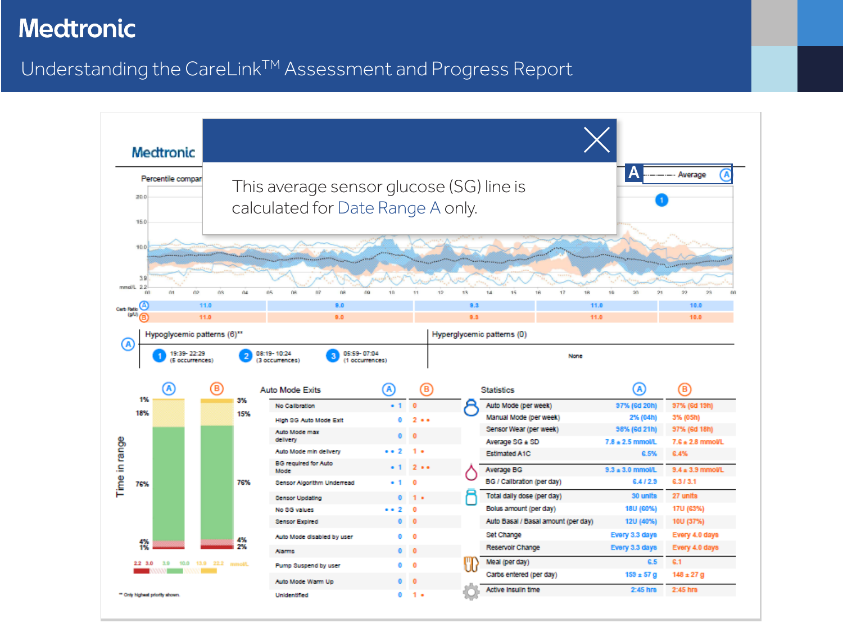<span id="page-2-0"></span>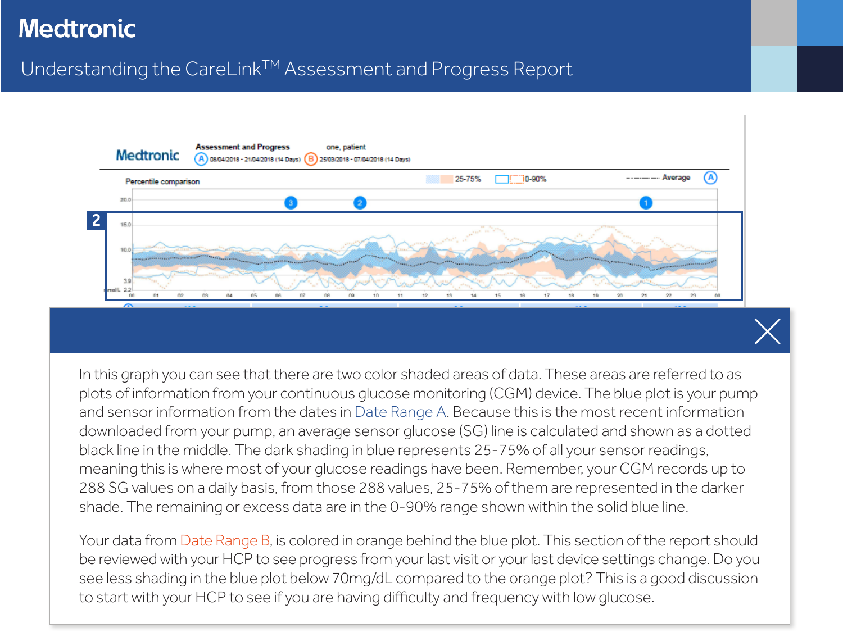### <span id="page-3-0"></span>Understanding the CareLink™ Assessment and Progress Report



In this graph you can see that there are two color shaded areas of data. These areas are referred to as plots of information from your continuous glucose monitoring (CGM) device. The blue plot is your pump and sensor information from the dates in Date Range A. Because this is the most recent information downloaded from your pump, an average sensor glucose (SG) line is calculated and shown as a dotted black line in the middle. The dark shading in blue represents 25-75% of all your sensor readings, meaning this is where most of your glucose readings have been. Remember, your CGM records up to 288 SG values on a daily basis, from those 288 values, 25-75% of them are represented in the darker shade. The remaining or excess data are in the 0-90% range shown within the solid blue line.

Your data from Date Range B, is colored in orange behind the blue plot. This section of the report should be reviewed with your HCP to see progress from your last visit or your last device settings change. Do you see less shading in the blue plot below 70mg/dL compared to the orange plot? This is a good discussion to start with your HCP to see if you are having difficulty and frequency with low glucose.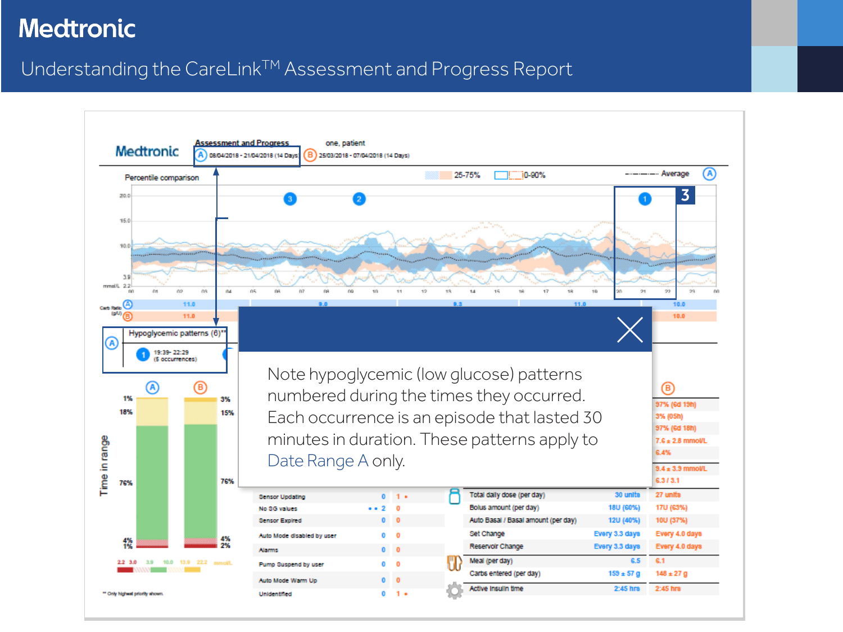<span id="page-4-0"></span>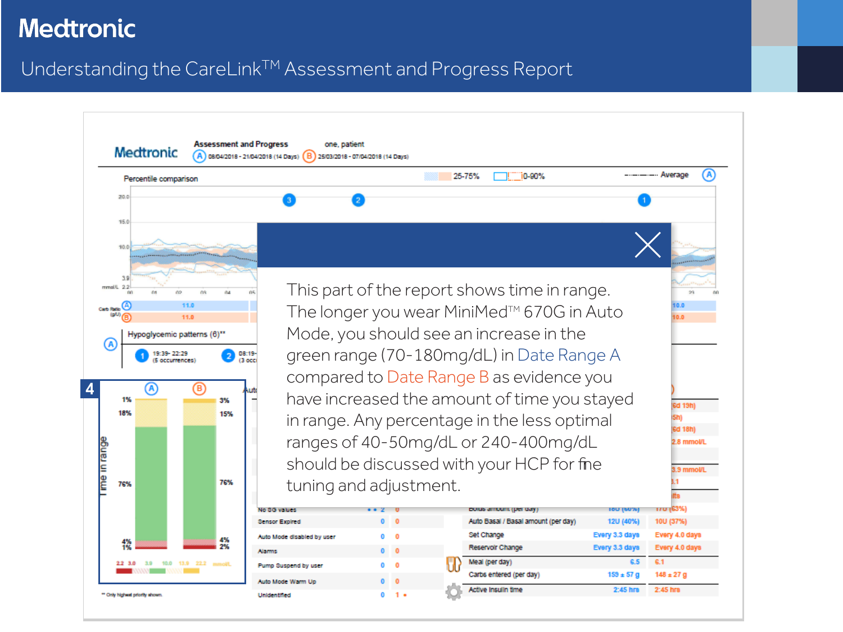<span id="page-5-0"></span>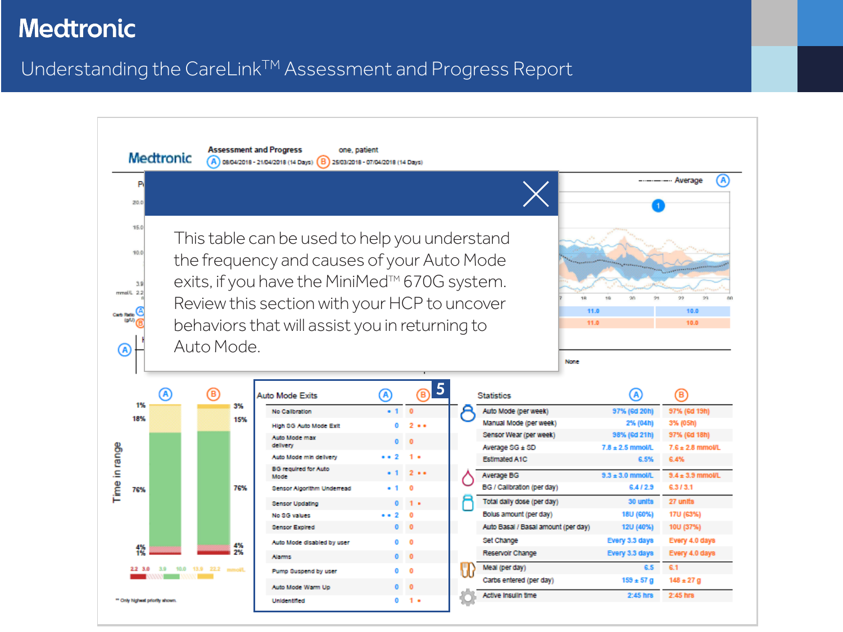<span id="page-6-0"></span>![](_page_6_Figure_2.jpeg)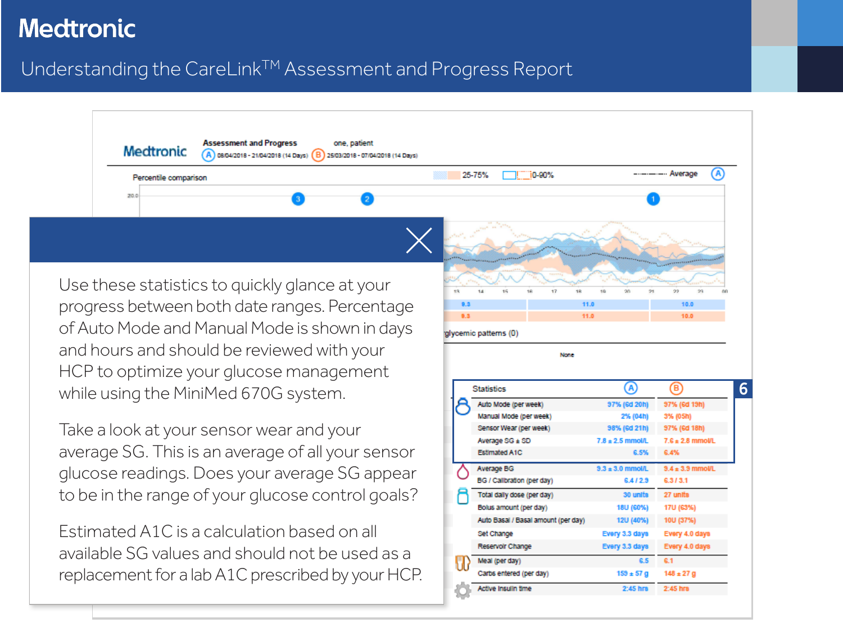#### <span id="page-7-0"></span>Understanding the CareLink™ Assessment and Progress Report

![](_page_7_Figure_2.jpeg)

Use these statistics to quickly glance at your progress between both date ranges. Percentage of Auto Mode and Manual Mode is shown in days and hours and should be reviewed with your HCP to optimize your glucose management while using the MiniMed 670G system.

Take a look at your sensor wear and your average SG. This is an average of all your sensor glucose readings. Does your average SG appear to be in the range of your glucose control goals?

Estimated A1C is a calculation based on all available SG values and should not be used as a replacement for a lab A1C prescribed by your HCP.

| None                                |                      |                      |
|-------------------------------------|----------------------|----------------------|
| <b>Statistics</b>                   | A                    | (B)                  |
| Auto Mode (per week)                | 97% (6d 20h)         | 97% (6d 19h)         |
| Manual Mode (per week)              | 2% (04h)             | 3% (05h)             |
| Sensor Wear (per week)              | 98% (6d 21h)         | 97% (6d 18h)         |
| Average SG ± SD                     | $7.8 \pm 2.5$ mmol/l | $7.6 \pm 2.8$ mmol/L |
| <b>Estimated A1C</b>                | 6.5%                 | 6.4%                 |
| Average BG                          | $9.3 \pm 3.0$ mmol/L | $9.4 \pm 3.9$ mmol/L |
| BG / Callbration (per day)          | 6.412.9              | 6.313.1              |
| Total daily dose (per day)          | 30 units             | 27 units             |
| Bolus amount (per day)              | 18U (60%)            | 17U (63%)            |
| Auto Basal / Basal amount (per day) | 12U (40%)            | 10U (37%)            |
| Set Change                          | Every 3.3 days       | Every 4.0 days       |
| Reservoir Change                    | Every 3.3 days       | Every 4.0 days       |
| Meal (per day)                      | 6.5                  | 6.1                  |
| Carbs entered (per day)             | $159 \pm 57$ g       | $148 \pm 27 g$       |
| Active Insulin time                 | $2:45$ hrs           | 2:45 hrs             |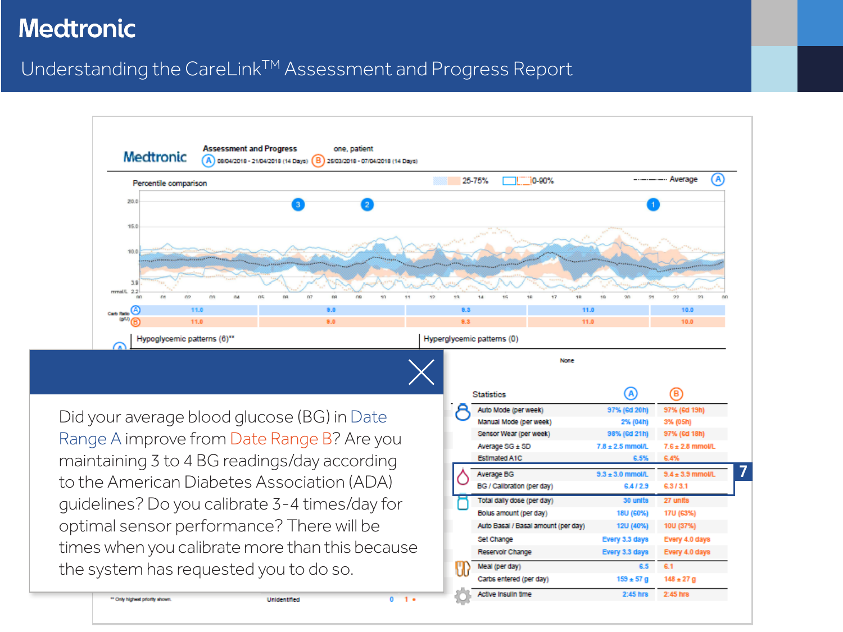#### <span id="page-8-0"></span>Understanding the CareLink™ Assessment and Progress Report

![](_page_8_Figure_2.jpeg)

\*\* Only highest priority shown

**Unidentified**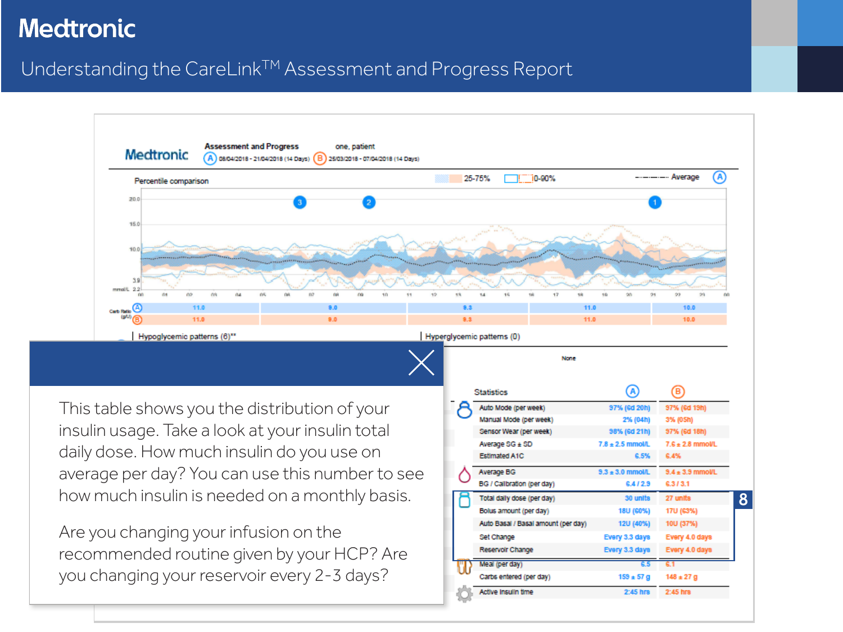#### <span id="page-9-0"></span>Understanding the CareLink™ Assessment and Progress Report

![](_page_9_Figure_2.jpeg)

Carbs entered (per day)

Active Insulin time

 $159 \pm 57$  g

2:45 hrs

 $148 \pm 27$  g

2:45 hrs

you changing your reservoir every 2-3 days?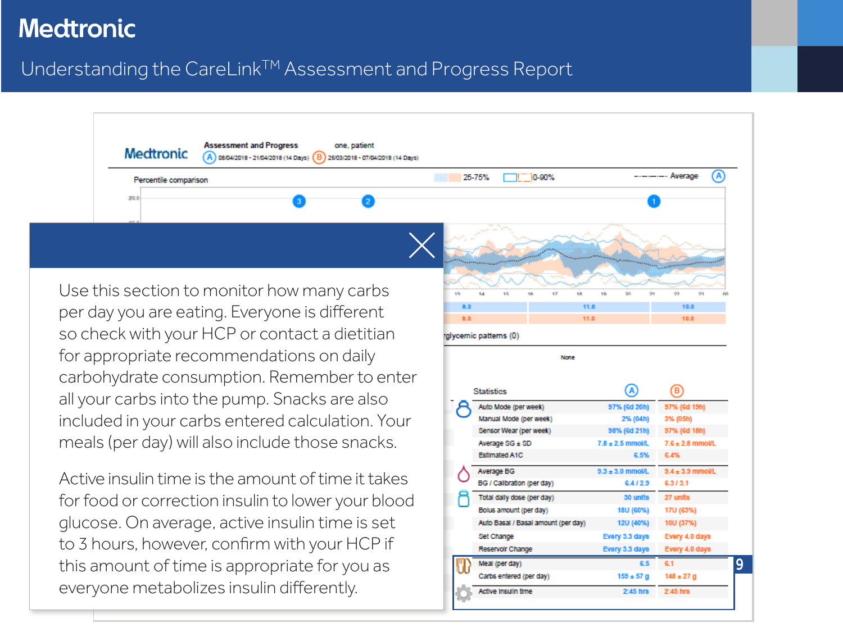#### <span id="page-10-0"></span>Understanding the CareLink™ Assessment and Progress Report

![](_page_10_Figure_2.jpeg)

Use this section to monitor how many carbs per day you are eating. Everyone is different so check with your HCP or contact a dietitian for appropriate recommendations on daily carbohydrate consumption. Remember to enter all your carbs into the pump. Snacks are also included in your carbs entered calculation. Your meals (per day) will also include those snacks.

Active insulin time is the amount of time it takes for food or correction insulin to lower your blood glucose. On average, active insulin time is set to 3 hours, however, confirm with your HCP if this amount of time is appropriate for you as everyone metabolizes insulin differently.

| 9.3 |                                     | 11.0 |                      | 10.0                 |  |
|-----|-------------------------------------|------|----------------------|----------------------|--|
|     | rglycemic patterns (0)              |      |                      |                      |  |
|     |                                     | None |                      |                      |  |
|     | <b>Statistics</b>                   |      | A                    | в                    |  |
|     | Auto Mode (per week)                |      | 97% (6d 20h)         | 97% (6d 19h)         |  |
|     | Manual Mode (per week)              |      | 2% (04h)             | 3% (05h)             |  |
|     | Sensor Wear (per week)              |      | 98% (6d 21h)         | 97% (6d 18h)         |  |
|     | Average SG ± SD                     |      | $7.8 \pm 2.5$ mmol/L | $7.6 \pm 2.8$ mmol/L |  |
|     | <b>Estimated A1C</b>                |      | 6.5%                 | 6.4%                 |  |
|     | Average BG                          |      | $9.3 \pm 3.0$ mmol/L | $9.4 \pm 3.9$ mmol/L |  |
|     | BG / Calibration (per day)          |      | 6.412.9              | 6.313.1              |  |
|     | Total dally dose (per day)          |      | 30 units             | 27 units             |  |
|     | Bolus amount (per day)              |      | 18U (60%)            | 17U (63%)            |  |
|     | Auto Basal / Basal amount (per day) |      | 12U (40%)            | 10U (37%)            |  |
|     | Set Change                          |      | Every 3.3 days       | Every 4.0 days       |  |
|     | Reservoir Change                    |      | Every 3.3 days       | Every 4.0 days       |  |
|     | Meal (per day)                      |      | 6.5                  | 6.1                  |  |
|     | Carbs entered (per day)             |      | $159 \pm 57$ g       | $148 \pm 27$ g       |  |
|     | Active Insulin time                 |      | $2:45$ hrs           | 2:45 hrs             |  |
|     |                                     |      |                      |                      |  |